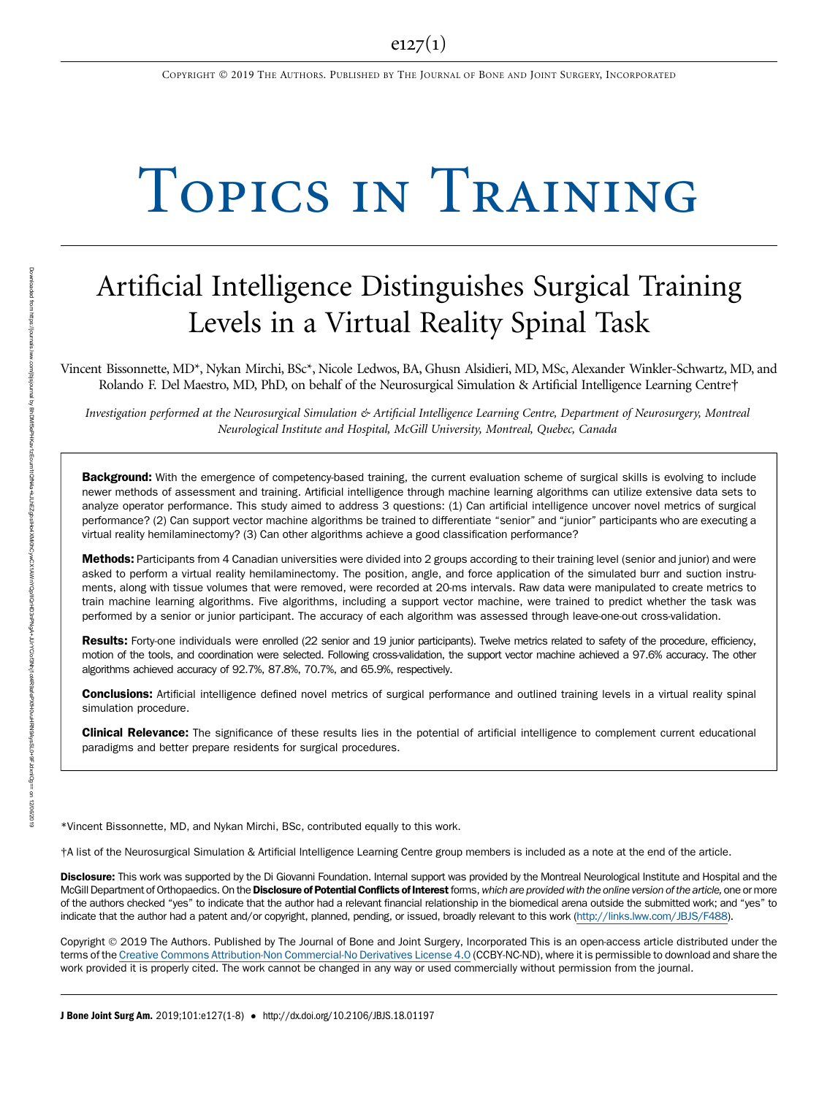COPYRIGHT 2019 THE AUTHORS. PUBLISHED BY THE JOURNAL OF BONE AND JOINT SURGERY, INCORPORATED

# TOPICS IN TRAINING  $T$  is the  $T$  of  $T$  in  $T$  is the  $T$  is the  $T$  is the  $T$  is the  $T$  is the  $T$  is the  $T$  is the  $T$  is the  $T$  is the  $T$  is the  $T$  is the  $T$  is the  $T$  is the  $T$  is the  $T$  is the  $T$  is the  $T$  is the  $T$  is th

## Artificial Intelligence Distinguishes Surgical Training Levels in a Virtual Reality Spinal Task

Vincent Bissonnette, MD\*, Nykan Mirchi, BSc\*, Nicole Ledwos, BA, Ghusn Alsidieri, MD, MSc, Alexander Winkler-Schwartz, MD, and Rolando F. Del Maestro, MD, PhD, on behalf of the Neurosurgical Simulation & Artificial Intelligence Learning Centre†

Investigation performed at the Neurosurgical Simulation & Artificial Intelligence Learning Centre, Department of Neurosurgery, Montreal Neurological Institute and Hospital, McGill University, Montreal, Quebec, Canada

Background: With the emergence of competency-based training, the current evaluation scheme of surgical skills is evolving to include newer methods of assessment and training. Artificial intelligence through machine learning algorithms can utilize extensive data sets to analyze operator performance. This study aimed to address 3 questions: (1) Can artificial intelligence uncover novel metrics of surgical performance? (2) Can support vector machine algorithms be trained to differentiate "senior" and "junior" participants who are executing a virtual reality hemilaminectomy? (3) Can other algorithms achieve a good classification performance?

Methods: Participants from 4 Canadian universities were divided into 2 groups according to their training level (senior and junior) and were asked to perform a virtual reality hemilaminectomy. The position, angle, and force application of the simulated burr and suction instruments, along with tissue volumes that were removed, were recorded at 20-ms intervals. Raw data were manipulated to create metrics to train machine learning algorithms. Five algorithms, including a support vector machine, were trained to predict whether the task was performed by a senior or junior participant. The accuracy of each algorithm was assessed through leave-one-out cross-validation.

Results: Forty-one individuals were enrolled (22 senior and 19 junior participants). Twelve metrics related to safety of the procedure, efficiency, motion of the tools, and coordination were selected. Following cross-validation, the support vector machine achieved a 97.6% accuracy. The other algorithms achieved accuracy of 92.7%, 87.8%, 70.7%, and 65.9%, respectively.

Conclusions: Artificial intelligence defined novel metrics of surgical performance and outlined training levels in a virtual reality spinal simulation procedure.

**Clinical Relevance:** The significance of these results lies in the potential of artificial intelligence to complement current educational paradigms and better prepare residents for surgical procedures.

\*Vincent Bissonnette, MD, and Nykan Mirchi, BSc, contributed equally to this work.

†A list of the Neurosurgical Simulation & Artificial Intelligence Learning Centre group members is included as a note at the end of the article.

Disclosure: This work was supported by the Di Giovanni Foundation. Internal support was provided by the Montreal Neurological Institute and Hospital and the McGill Department of Orthopaedics. On the Disclosure of Potential Conflicts of Interest forms, which are provided with the online version of the article, one or more of the authors checked "yes" to indicate that the author had a relevant financial relationship in the biomedical arena outside the submitted work; and "yes" to indicate that the author had a patent and/or copyright, planned, pending, or issued, broadly relevant to this work [\(http://links.lww.com/JBJS/F488\)](http://links.lww.com/JBJS/F488).

Copyright 2019 The Authors. Published by The Journal of Bone and Joint Surgery, Incorporated This is an open-access article distributed under the terms of the [Creative Commons Attribution-Non Commercial-No Derivatives License 4.0](http://creativecommons.org/licenses/by-nc-nd/4.0/) (CCBY-NC-ND), where it is permissible to download and share the work provided it is properly cited. The work cannot be changed in any way or used commercially without permission from the journal.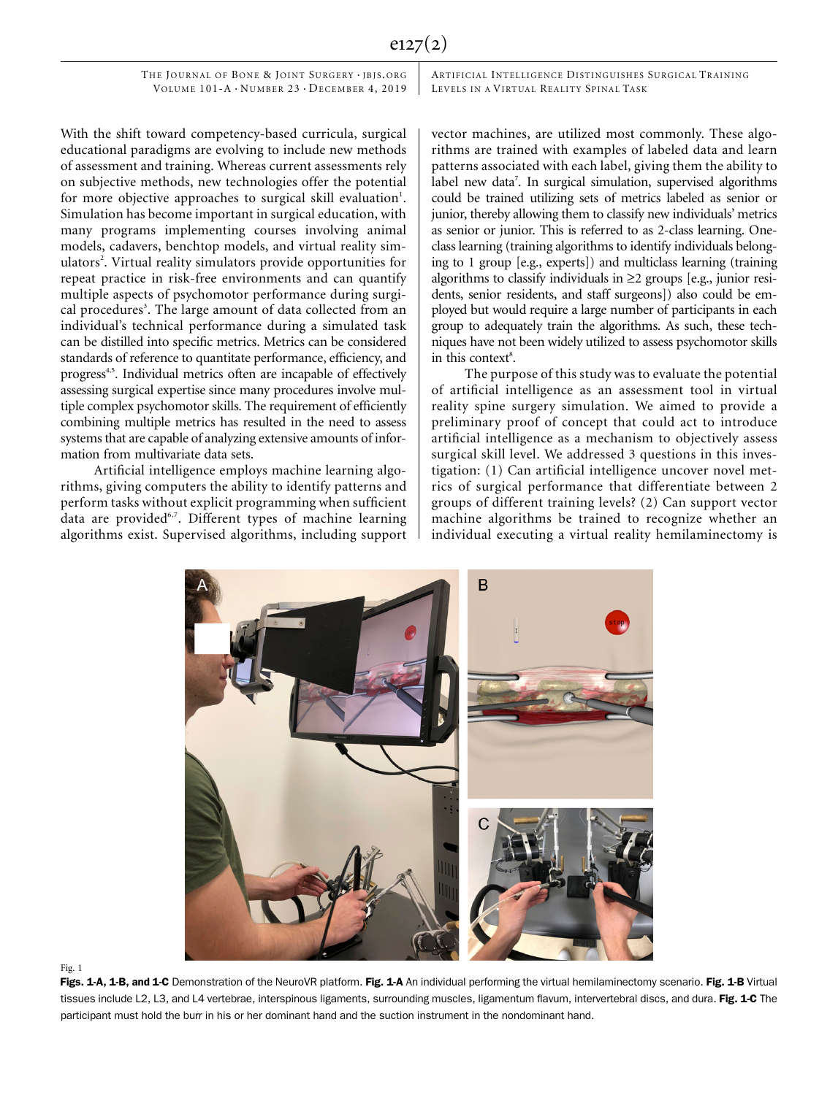ARTIFICIAL INTELLIGENCE DISTINGUISHES SURGICAL TRAINING LEVELS IN A VIRTUAL REALITY SPINAL TASK

With the shift toward competency-based curricula, surgical educational paradigms are evolving to include new methods of assessment and training. Whereas current assessments rely on subjective methods, new technologies offer the potential for more objective approaches to surgical skill evaluation<sup>1</sup>. Simulation has become important in surgical education, with many programs implementing courses involving animal models, cadavers, benchtop models, and virtual reality simulators<sup>2</sup>. Virtual reality simulators provide opportunities for repeat practice in risk-free environments and can quantify multiple aspects of psychomotor performance during surgical procedures<sup>3</sup>. The large amount of data collected from an individual's technical performance during a simulated task can be distilled into specific metrics. Metrics can be considered standards of reference to quantitate performance, efficiency, and progress<sup>4,5</sup>. Individual metrics often are incapable of effectively assessing surgical expertise since many procedures involve multiple complex psychomotor skills. The requirement of efficiently combining multiple metrics has resulted in the need to assess systems that are capable of analyzing extensive amounts of information from multivariate data sets.

Artificial intelligence employs machine learning algorithms, giving computers the ability to identify patterns and perform tasks without explicit programming when sufficient data are provided<sup>6,7</sup>. Different types of machine learning algorithms exist. Supervised algorithms, including support vector machines, are utilized most commonly. These algorithms are trained with examples of labeled data and learn patterns associated with each label, giving them the ability to label new data<sup>7</sup>. In surgical simulation, supervised algorithms could be trained utilizing sets of metrics labeled as senior or junior, thereby allowing them to classify new individuals' metrics as senior or junior. This is referred to as 2-class learning. Oneclass learning (training algorithms to identify individuals belonging to 1 group [e.g., experts]) and multiclass learning (training algorithms to classify individuals in  $\geq 2$  groups [e.g., junior residents, senior residents, and staff surgeons]) also could be employed but would require a large number of participants in each group to adequately train the algorithms. As such, these techniques have not been widely utilized to assess psychomotor skills in this context<sup>8</sup>.

The purpose of this study was to evaluate the potential of artificial intelligence as an assessment tool in virtual reality spine surgery simulation. We aimed to provide a preliminary proof of concept that could act to introduce artificial intelligence as a mechanism to objectively assess surgical skill level. We addressed 3 questions in this investigation: (1) Can artificial intelligence uncover novel metrics of surgical performance that differentiate between 2 groups of different training levels? (2) Can support vector machine algorithms be trained to recognize whether an individual executing a virtual reality hemilaminectomy is



Fig. 1

Figs. 1-A, 1-B, and 1-C Demonstration of the NeuroVR platform. Fig. 1-A An individual performing the virtual hemilaminectomy scenario. Fig. 1-B Virtual tissues include L2, L3, and L4 vertebrae, interspinous ligaments, surrounding muscles, ligamentum flavum, intervertebral discs, and dura. Fig. 1-C The participant must hold the burr in his or her dominant hand and the suction instrument in the nondominant hand.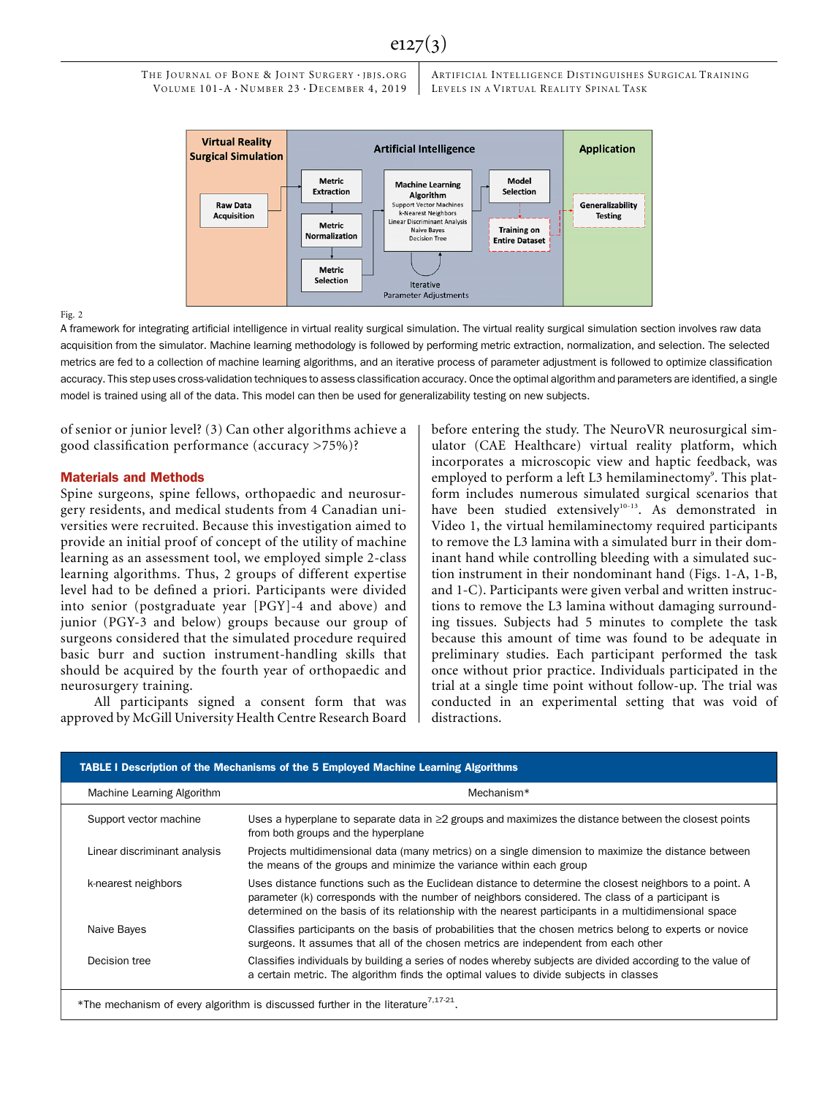## $e127(3)$

THE JOURNAL OF BONE & JOINT SURGERY · JBJS.ORG VOLUME  $101-A \cdot N$ UMBER  $23 \cdot D$ ECEMBER 4, 2019

ARTIFICIAL INTELLIGENCE DISTINGUISHES SURGICAL TRAINING LEVELS IN A VIRTUAL REALITY SPINAL TASK



### Fig. 2

A framework for integrating artificial intelligence in virtual reality surgical simulation. The virtual reality surgical simulation section involves raw data acquisition from the simulator. Machine learning methodology is followed by performing metric extraction, normalization, and selection. The selected metrics are fed to a collection of machine learning algorithms, and an iterative process of parameter adjustment is followed to optimize classification accuracy. This step uses cross-validation techniques to assess classification accuracy. Once the optimal algorithm and parameters are identified, a single model is trained using all of the data. This model can then be used for generalizability testing on new subjects.

of senior or junior level? (3) Can other algorithms achieve a good classification performance (accuracy >75%)?

#### Materials and Methods

Spine surgeons, spine fellows, orthopaedic and neurosurgery residents, and medical students from 4 Canadian universities were recruited. Because this investigation aimed to provide an initial proof of concept of the utility of machine learning as an assessment tool, we employed simple 2-class learning algorithms. Thus, 2 groups of different expertise level had to be defined a priori. Participants were divided into senior (postgraduate year [PGY]-4 and above) and junior (PGY-3 and below) groups because our group of surgeons considered that the simulated procedure required basic burr and suction instrument-handling skills that should be acquired by the fourth year of orthopaedic and neurosurgery training.

All participants signed a consent form that was approved by McGill University Health Centre Research Board before entering the study. The NeuroVR neurosurgical simulator (CAE Healthcare) virtual reality platform, which incorporates a microscopic view and haptic feedback, was employed to perform a left L3 hemilaminectomy<sup>9</sup>. This platform includes numerous simulated surgical scenarios that have been studied extensively<sup>10-13</sup>. As demonstrated in Video 1, the virtual hemilaminectomy required participants to remove the L3 lamina with a simulated burr in their dominant hand while controlling bleeding with a simulated suction instrument in their nondominant hand (Figs. 1-A, 1-B, and 1-C). Participants were given verbal and written instructions to remove the L3 lamina without damaging surrounding tissues. Subjects had 5 minutes to complete the task because this amount of time was found to be adequate in preliminary studies. Each participant performed the task once without prior practice. Individuals participated in the trial at a single time point without follow-up. The trial was conducted in an experimental setting that was void of distractions.

| Machine Learning Algorithm   | Mechanism*                                                                                                                                                                                                                                                                                                           |
|------------------------------|----------------------------------------------------------------------------------------------------------------------------------------------------------------------------------------------------------------------------------------------------------------------------------------------------------------------|
| Support vector machine       | Uses a hyperplane to separate data in $\geq$ groups and maximizes the distance between the closest points<br>from both groups and the hyperplane                                                                                                                                                                     |
| Linear discriminant analysis | Projects multidimensional data (many metrics) on a single dimension to maximize the distance between<br>the means of the groups and minimize the variance within each group                                                                                                                                          |
| k-nearest neighbors          | Uses distance functions such as the Euclidean distance to determine the closest neighbors to a point. A<br>parameter (k) corresponds with the number of neighbors considered. The class of a participant is<br>determined on the basis of its relationship with the nearest participants in a multidimensional space |
| Naive Bayes                  | Classifies participants on the basis of probabilities that the chosen metrics belong to experts or novice<br>surgeons. It assumes that all of the chosen metrics are independent from each other                                                                                                                     |
| Decision tree                | Classifies individuals by building a series of nodes whereby subjects are divided according to the value of<br>a certain metric. The algorithm finds the optimal values to divide subjects in classes                                                                                                                |

\*The mechanism of every algorithm is discussed further in the literature<sup>7,17-21</sup>.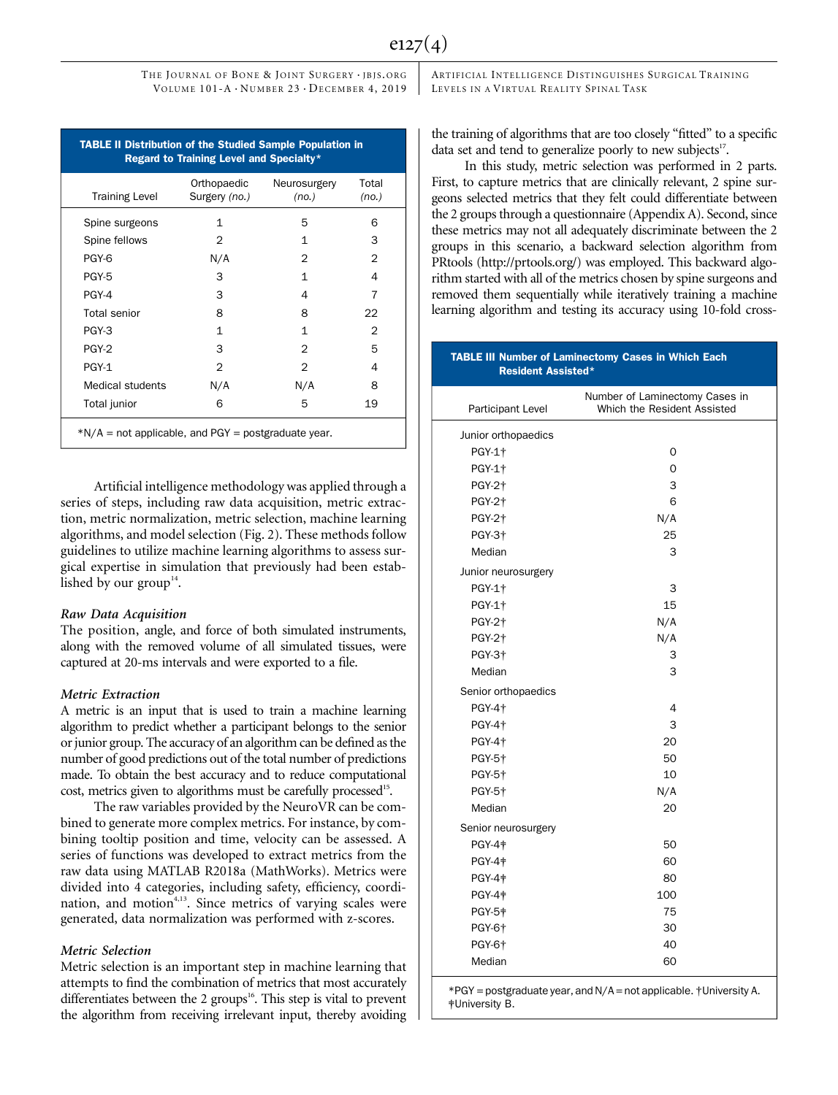|                         | Orthopaedic   | Neurosurgery   | Total         |
|-------------------------|---------------|----------------|---------------|
| <b>Training Level</b>   | Surgery (no.) | (no.)          | (no.)         |
| Spine surgeons          | $\mathbf{1}$  | 5              | 6             |
| Spine fellows           | 2             | 1              | 3             |
| PGY-6                   | N/A           | 2              | $\mathcal{P}$ |
| PGY-5                   | 3             | 1              | 4             |
| PGY-4                   | 3             | 4              | 7             |
| <b>Total senior</b>     | 8             | 8              | 22            |
| PGY-3                   | $\mathbf{1}$  | $\mathbf{1}$   | 2             |
| PGY-2                   | 3             | $\overline{2}$ | 5             |
| PGY-1                   | $\mathcal{P}$ | $\overline{2}$ | 4             |
| <b>Medical students</b> | N/A           | N/A            | 8             |
| Total junior            | 6             | 5              | 19            |

Artificial intelligence methodology was applied through a series of steps, including raw data acquisition, metric extraction, metric normalization, metric selection, machine learning algorithms, and model selection (Fig. 2). These methods follow guidelines to utilize machine learning algorithms to assess surgical expertise in simulation that previously had been established by our group<sup>14</sup>.

The position, angle, and force of both simulated instruments, along with the removed volume of all simulated tissues, were captured at 20-ms intervals and were exported to a file.

A metric is an input that is used to train a machine learning algorithm to predict whether a participant belongs to the senior or junior group. The accuracy of an algorithm can be defined as the number of good predictions out of the total number of predictions made. To obtain the best accuracy and to reduce computational cost, metrics given to algorithms must be carefully processed<sup>15</sup>.

The raw variables provided by the NeuroVR can be combined to generate more complex metrics. For instance, by combining tooltip position and time, velocity can be assessed. A series of functions was developed to extract metrics from the raw data using MATLAB R2018a (MathWorks). Metrics were divided into 4 categories, including safety, efficiency, coordination, and motion<sup>4,13</sup>. Since metrics of varying scales were generated, data normalization was performed with z-scores.

Metric Selection Metric selection is an important step in machine learning that attempts to find the combination of metrics that most accurately differentiates between the 2 groups<sup>16</sup>. This step is vital to prevent the algorithm from receiving irrelevant input, thereby avoiding

ARTIFICIAL INTELLIGENCE DISTINGUISHES SURGICAL TRAINING LEVELS IN A VIRTUAL REALITY SPINAL TASK

the training of algorithms that are too closely "fitted" to a specific data set and tend to generalize poorly to new subjects $17$ .

In this study, metric selection was performed in 2 parts. First, to capture metrics that are clinically relevant, 2 spine surgeons selected metrics that they felt could differentiate between the 2 groups through a questionnaire (Appendix A). Second, since these metrics may not all adequately discriminate between the 2 groups in this scenario, a backward selection algorithm from PRtools [\(http://prtools.org/\)](http://prtools.org/) was employed. This backward algorithm started with all of the metrics chosen by spine surgeons and removed them sequentially while iteratively training a machine learning algorithm and testing its accuracy using 10-fold cross-

## TABLE III Number of Laminectomy Cases in Which Each Resident Assisted\* Participant Level Number of Laminectomy Cases in Which the Resident Assisted Junior orthopaedics PGY-1† 0 PGY-1† 0 PGY-2† 3 PGY-2† 6 PGY-2† N/A PGY-3† 25 Median 3 Junior neurosurgery PGY-1† 3 PGY-1† 15 PGY-2† N/A PGY-2† N/A PGY-3† 3 Median 3 Senior orthopaedics PGY-4† 4 PGY-4† 3 PGY-4† 20 PGY-5† 50 PGY-5† 10 PGY-5† N/A Median 20 Senior neurosurgery PGY-4‡ 50 PGY-4‡ 60 PGY-4 **\*** 80 PGY-4‡ 100 PGY-5‡ 75 PGY-6† 30 PGY-6† 40 Median 60 \*PGY = postgraduate year, and N/A = not applicable. †University A. ‡University B.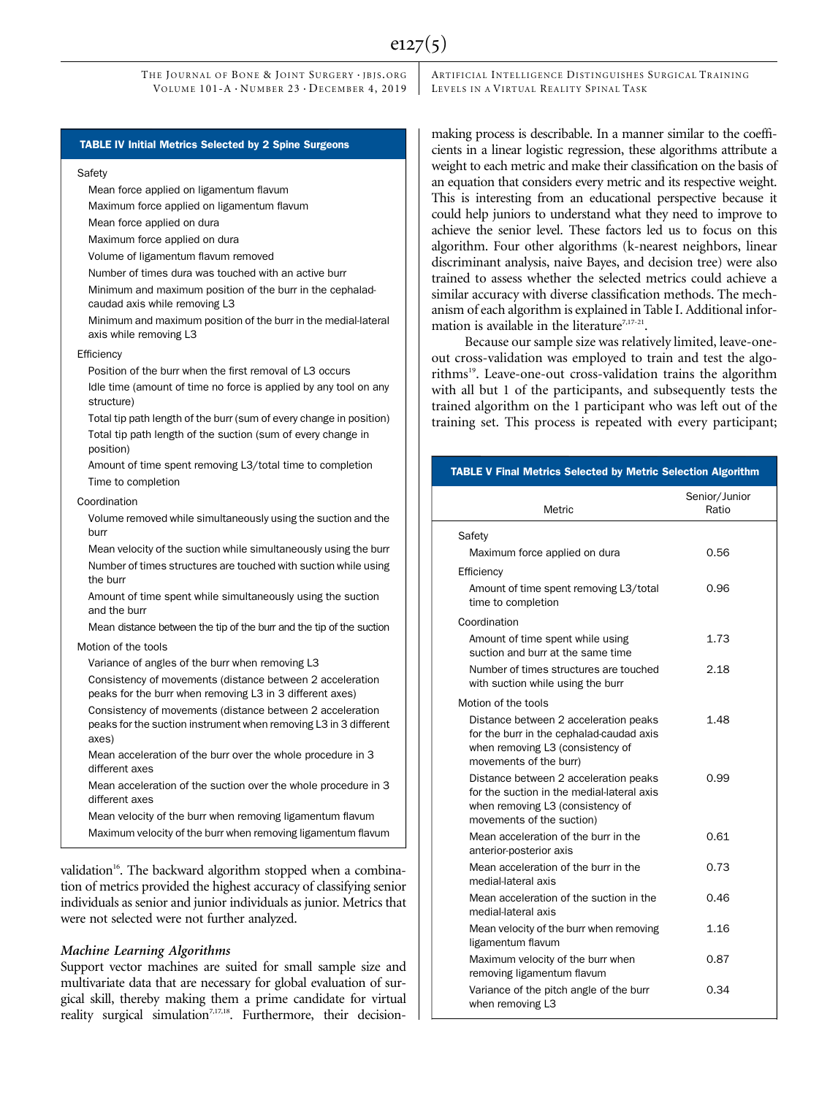### TABLE IV Initial Metrics Selected by 2 Spine Surgeons

#### **Safety**

Mean force applied on ligamentum flavum

Maximum force applied on ligamentum flavum

Mean force applied on dura

Maximum force applied on dura

Volume of ligamentum flavum removed

Number of times dura was touched with an active burr

Minimum and maximum position of the burr in the cephaladcaudad axis while removing L3

Minimum and maximum position of the burr in the medial-lateral axis while removing L3

#### **Efficiency**

Position of the burr when the first removal of L3 occurs Idle time (amount of time no force is applied by any tool on any structure)

Total tip path length of the burr (sum of every change in position) Total tip path length of the suction (sum of every change in position)

Amount of time spent removing L3/total time to completion Time to completion

#### Coordination

Volume removed while simultaneously using the suction and the burr

Mean velocity of the suction while simultaneously using the burr Number of times structures are touched with suction while using the burr

Amount of time spent while simultaneously using the suction and the burr

Mean distance between the tip of the burr and the tip of the suction

## Motion of the tools

Variance of angles of the burr when removing L3

Consistency of movements (distance between 2 acceleration peaks for the burr when removing L3 in 3 different axes)

Consistency of movements (distance between 2 acceleration peaks for the suction instrument when removing L3 in 3 different axes)

Mean acceleration of the burr over the whole procedure in 3 different axes

Mean acceleration of the suction over the whole procedure in 3 different axes

Mean velocity of the burr when removing ligamentum flavum

Maximum velocity of the burr when removing ligamentum flavum

validation<sup>16</sup>. The backward algorithm stopped when a combination of metrics provided the highest accuracy of classifying senior individuals as senior and junior individuals as junior. Metrics that were not selected were not further analyzed.

Support vector machines are suited for small sample size and multivariate data that are necessary for global evaluation of surgical skill, thereby making them a prime candidate for virtual reality surgical simulation<sup>7,17,18</sup>. Furthermore, their decisionARTIFICIAL INTELLIGENCE DISTINGUISHES SURGICAL TRAINING LEVELS IN A VIRTUAL REALITY SPINAL TASK

making process is describable. In a manner similar to the coefficients in a linear logistic regression, these algorithms attribute a weight to each metric and make their classification on the basis of an equation that considers every metric and its respective weight. This is interesting from an educational perspective because it could help juniors to understand what they need to improve to achieve the senior level. These factors led us to focus on this algorithm. Four other algorithms (k-nearest neighbors, linear discriminant analysis, naive Bayes, and decision tree) were also trained to assess whether the selected metrics could achieve a similar accuracy with diverse classification methods. The mechanism of each algorithm is explained in Table I. Additional information is available in the literature<sup>7,17-21</sup>.

Because our sample size was relatively limited, leave-oneout cross-validation was employed to train and test the algorithms<sup>19</sup>. Leave-one-out cross-validation trains the algorithm with all but 1 of the participants, and subsequently tests the trained algorithm on the 1 participant who was left out of the training set. This process is repeated with every participant;

#### TABLE V Final Metrics Selected by Metric Selection Algorithm

| Metric                                                                                                                                               | Senior/Junior<br>Ratio |
|------------------------------------------------------------------------------------------------------------------------------------------------------|------------------------|
| Safety                                                                                                                                               |                        |
| Maximum force applied on dura                                                                                                                        | 0.56                   |
| Efficiency                                                                                                                                           |                        |
| Amount of time spent removing L3/total<br>time to completion                                                                                         | 0.96                   |
| Coordination                                                                                                                                         |                        |
| Amount of time spent while using<br>suction and burr at the same time                                                                                | 1.73                   |
| Number of times structures are touched<br>with suction while using the burr                                                                          | 2.18                   |
| Motion of the tools                                                                                                                                  |                        |
| Distance between 2 acceleration peaks<br>for the burr in the cephalad-caudad axis<br>when removing L3 (consistency of<br>movements of the burr)      | 1.48                   |
| Distance between 2 acceleration peaks<br>for the suction in the medial-lateral axis<br>when removing L3 (consistency of<br>movements of the suction) | 0.99                   |
| Mean acceleration of the burr in the<br>anterior-posterior axis                                                                                      | 0.61                   |
| Mean acceleration of the burr in the<br>medial-lateral axis                                                                                          | 0.73                   |
| Mean acceleration of the suction in the<br>medial-lateral axis                                                                                       | 0.46                   |
| Mean velocity of the burr when removing<br>ligamentum flavum                                                                                         | 1.16                   |
| Maximum velocity of the burr when<br>removing ligamentum flavum                                                                                      | 0.87                   |
| Variance of the pitch angle of the burr<br>when removing L3                                                                                          | 0.34                   |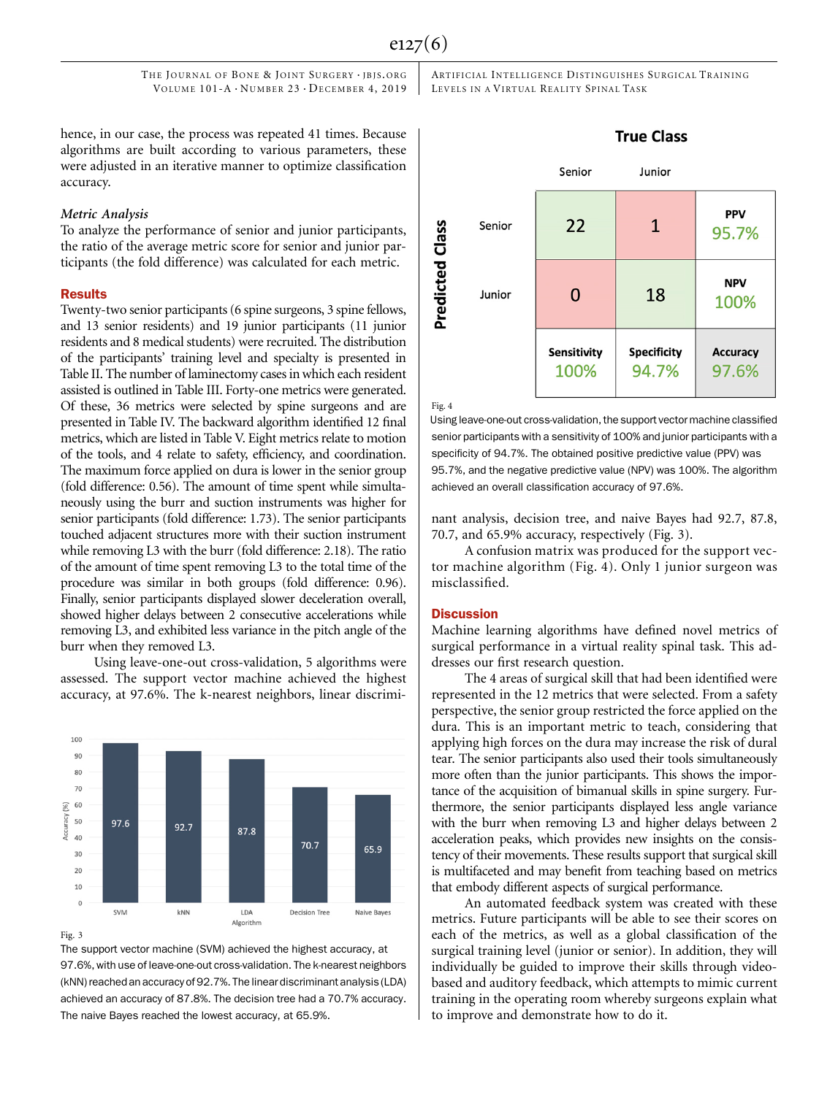ARTIFICIAL INTELLIGENCE DISTINGUISHES SURGICAL TRAINING LEVELS IN A VIRTUAL REALITY SPINAL TASK

hence, in our case, the process was repeated 41 times. Because algorithms are built according to various parameters, these were adjusted in an iterative manner to optimize classification accuracy.

To analyze the performance of senior and junior participants, the ratio of the average metric score for senior and junior participants (the fold difference) was calculated for each metric.

#### Results

Twenty-two senior participants (6 spine surgeons, 3 spine fellows, and 13 senior residents) and 19 junior participants (11 junior residents and 8 medical students) were recruited. The distribution of the participants' training level and specialty is presented in Table II. The number of laminectomy cases in which each resident assisted is outlined in Table III. Forty-one metrics were generated. Of these, 36 metrics were selected by spine surgeons and are presented in Table IV. The backward algorithm identified 12 final metrics, which are listed in Table V. Eight metrics relate to motion of the tools, and 4 relate to safety, efficiency, and coordination. The maximum force applied on dura is lower in the senior group (fold difference: 0.56). The amount of time spent while simultaneously using the burr and suction instruments was higher for senior participants (fold difference: 1.73). The senior participants touched adjacent structures more with their suction instrument while removing L3 with the burr (fold difference: 2.18). The ratio of the amount of time spent removing L3 to the total time of the procedure was similar in both groups (fold difference: 0.96). Finally, senior participants displayed slower deceleration overall, showed higher delays between 2 consecutive accelerations while removing L3, and exhibited less variance in the pitch angle of the burr when they removed L3.

Using leave-one-out cross-validation, 5 algorithms were assessed. The support vector machine achieved the highest accuracy, at 97.6%. The k-nearest neighbors, linear discrimi-



The support vector machine (SVM) achieved the highest accuracy, at 97.6%, with use of leave-one-out cross-validation. The k-nearest neighbors (kNN) reached an accuracy of 92.7%. The linear discriminant analysis(LDA) achieved an accuracy of 87.8%. The decision tree had a 70.7% accuracy. The naive Bayes reached the lowest accuracy, at 65.9%.



Fig. 4

Using leave-one-out cross-validation, the support vector machine classified senior participants with a sensitivity of 100% and junior participants with a specificity of 94.7%. The obtained positive predictive value (PPV) was 95.7%, and the negative predictive value (NPV) was 100%. The algorithm achieved an overall classification accuracy of 97.6%.

nant analysis, decision tree, and naive Bayes had 92.7, 87.8, 70.7, and 65.9% accuracy, respectively (Fig. 3).

A confusion matrix was produced for the support vector machine algorithm (Fig. 4). Only 1 junior surgeon was misclassified.

#### **Discussion**

Machine learning algorithms have defined novel metrics of surgical performance in a virtual reality spinal task. This addresses our first research question.

The 4 areas of surgical skill that had been identified were represented in the 12 metrics that were selected. From a safety perspective, the senior group restricted the force applied on the dura. This is an important metric to teach, considering that applying high forces on the dura may increase the risk of dural tear. The senior participants also used their tools simultaneously more often than the junior participants. This shows the importance of the acquisition of bimanual skills in spine surgery. Furthermore, the senior participants displayed less angle variance with the burr when removing L3 and higher delays between 2 acceleration peaks, which provides new insights on the consistency of their movements. These results support that surgical skill is multifaceted and may benefit from teaching based on metrics that embody different aspects of surgical performance.

An automated feedback system was created with these metrics. Future participants will be able to see their scores on each of the metrics, as well as a global classification of the surgical training level (junior or senior). In addition, they will individually be guided to improve their skills through videobased and auditory feedback, which attempts to mimic current training in the operating room whereby surgeons explain what to improve and demonstrate how to do it.

## **True Class**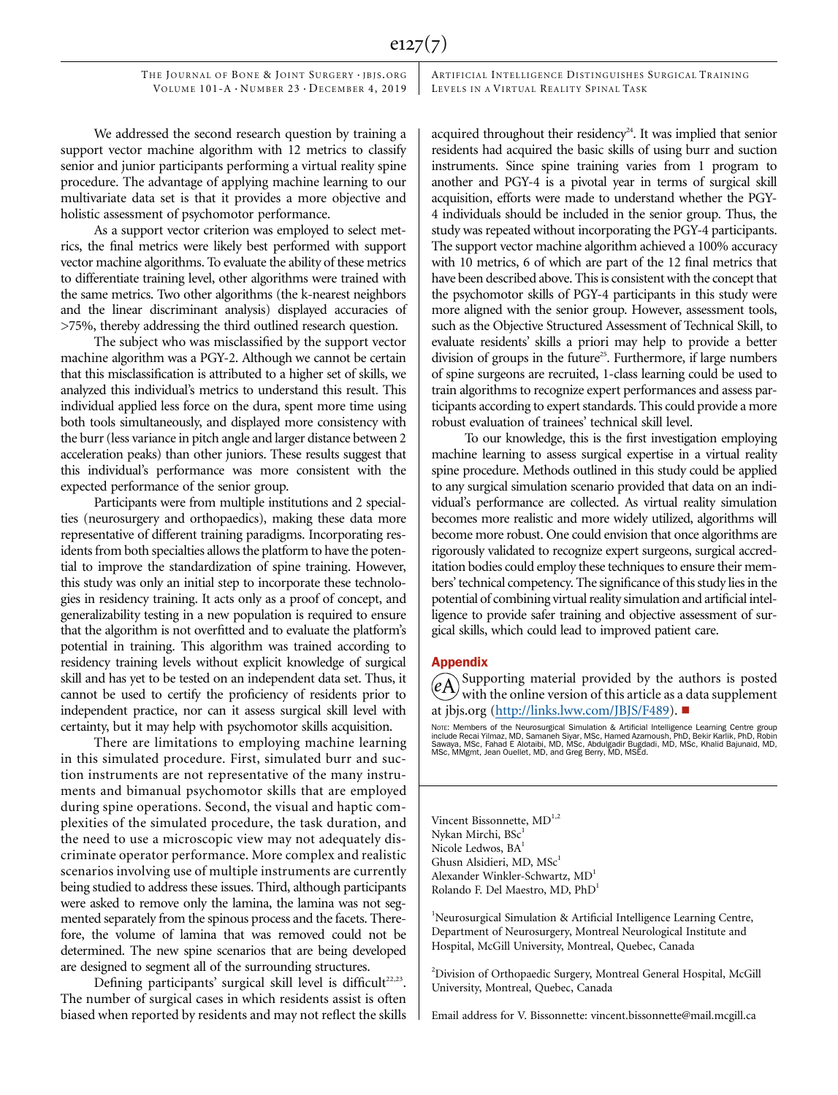ARTIFICIAL INTELLIGENCE DISTINGUISHES SURGICAL TRAINING LEVELS IN A VIRTUAL REALITY SPINAL TASK

We addressed the second research question by training a support vector machine algorithm with 12 metrics to classify senior and junior participants performing a virtual reality spine procedure. The advantage of applying machine learning to our multivariate data set is that it provides a more objective and holistic assessment of psychomotor performance.

As a support vector criterion was employed to select metrics, the final metrics were likely best performed with support vector machine algorithms. To evaluate the ability of these metrics to differentiate training level, other algorithms were trained with the same metrics. Two other algorithms (the k-nearest neighbors and the linear discriminant analysis) displayed accuracies of >75%, thereby addressing the third outlined research question.

The subject who was misclassified by the support vector machine algorithm was a PGY-2. Although we cannot be certain that this misclassification is attributed to a higher set of skills, we analyzed this individual's metrics to understand this result. This individual applied less force on the dura, spent more time using both tools simultaneously, and displayed more consistency with the burr (less variance in pitch angle and larger distance between 2 acceleration peaks) than other juniors. These results suggest that this individual's performance was more consistent with the expected performance of the senior group.

Participants were from multiple institutions and 2 specialties (neurosurgery and orthopaedics), making these data more representative of different training paradigms. Incorporating residents from both specialties allows the platform to have the potential to improve the standardization of spine training. However, this study was only an initial step to incorporate these technologies in residency training. It acts only as a proof of concept, and generalizability testing in a new population is required to ensure that the algorithm is not overfitted and to evaluate the platform's potential in training. This algorithm was trained according to residency training levels without explicit knowledge of surgical skill and has yet to be tested on an independent data set. Thus, it cannot be used to certify the proficiency of residents prior to independent practice, nor can it assess surgical skill level with certainty, but it may help with psychomotor skills acquisition.

There are limitations to employing machine learning in this simulated procedure. First, simulated burr and suction instruments are not representative of the many instruments and bimanual psychomotor skills that are employed during spine operations. Second, the visual and haptic complexities of the simulated procedure, the task duration, and the need to use a microscopic view may not adequately discriminate operator performance. More complex and realistic scenarios involving use of multiple instruments are currently being studied to address these issues. Third, although participants were asked to remove only the lamina, the lamina was not segmented separately from the spinous process and the facets. Therefore, the volume of lamina that was removed could not be determined. The new spine scenarios that are being developed are designed to segment all of the surrounding structures.

Defining participants' surgical skill level is difficult<sup>22,23</sup>. The number of surgical cases in which residents assist is often biased when reported by residents and may not reflect the skills acquired throughout their residency<sup>24</sup>. It was implied that senior residents had acquired the basic skills of using burr and suction instruments. Since spine training varies from 1 program to another and PGY-4 is a pivotal year in terms of surgical skill acquisition, efforts were made to understand whether the PGY-4 individuals should be included in the senior group. Thus, the study was repeated without incorporating the PGY-4 participants. The support vector machine algorithm achieved a 100% accuracy with 10 metrics, 6 of which are part of the 12 final metrics that have been described above. This is consistent with the concept that the psychomotor skills of PGY-4 participants in this study were more aligned with the senior group. However, assessment tools, such as the Objective Structured Assessment of Technical Skill, to evaluate residents' skills a priori may help to provide a better division of groups in the future<sup>25</sup>. Furthermore, if large numbers of spine surgeons are recruited, 1-class learning could be used to train algorithms to recognize expert performances and assess participants according to expert standards. This could provide a more robust evaluation of trainees' technical skill level.

To our knowledge, this is the first investigation employing machine learning to assess surgical expertise in a virtual reality spine procedure. Methods outlined in this study could be applied to any surgical simulation scenario provided that data on an individual's performance are collected. As virtual reality simulation becomes more realistic and more widely utilized, algorithms will become more robust. One could envision that once algorithms are rigorously validated to recognize expert surgeons, surgical accreditation bodies could employ these techniques to ensure their members' technical competency. The significance of this study lies in the potential of combining virtual reality simulation and artificial intelligence to provide safer training and objective assessment of surgical skills, which could lead to improved patient care.

#### Appendix

Supporting material provided by the authors is posted with the online version of this article as a data supplement at [jbjs.org](http://jbjs.org) (<http://links.lww.com/JBJS/F489>).  $\blacksquare$ 

Note: Members of the Neurosurgical Simulation & Artificial Intelligence Learning Centre group<br>include Recai Yilmaz, MD, Samaneh Siyar, MSc, Hamed Azarnoush, PhD, Bekir Karlik, PhD, Robin<br>Sawaya, MSc, Fahad E Alotaibi, MD,

Vincent Bissonnette, MD<sup>1,2</sup> Nykan Mirchi, BSc<sup>1</sup> Nicole Ledwos, BA<sup>1</sup> Ghusn Alsidieri, MD, MSc<sup>1</sup> Alexander Winkler-Schwartz, MD<sup>1</sup> Rolando F. Del Maestro, MD, PhD<sup>1</sup>

<sup>1</sup>Neurosurgical Simulation & Artificial Intelligence Learning Centre, Department of Neurosurgery, Montreal Neurological Institute and Hospital, McGill University, Montreal, Quebec, Canada

<sup>2</sup>Division of Orthopaedic Surgery, Montreal General Hospital, McGill University, Montreal, Quebec, Canada

Email address for V. Bissonnette: [vincent.bissonnette@mail.mcgill.ca](mailto:vincent.bissonnette@mail.mcgill.ca)